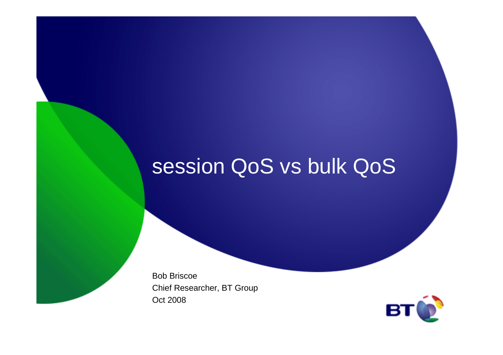## session QoS vs bulk QoS

Bob Briscoe Chief Researcher, BT GroupOct 2008

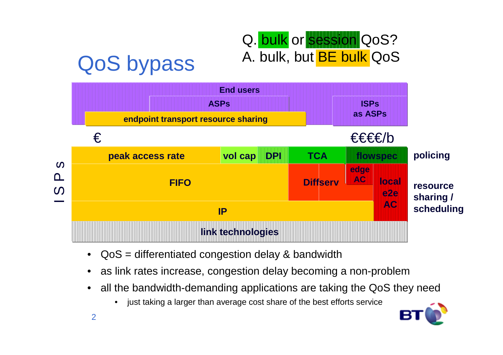

- •QoS = differentiated congestion delay & bandwidth
- •as link rates increase, congestion delay becoming a non-problem
- all the bandwidth-demanding applications are taking the QoS they need $\bullet$ 
	- $\bullet$ just taking a larger than average cost share of the best efforts service

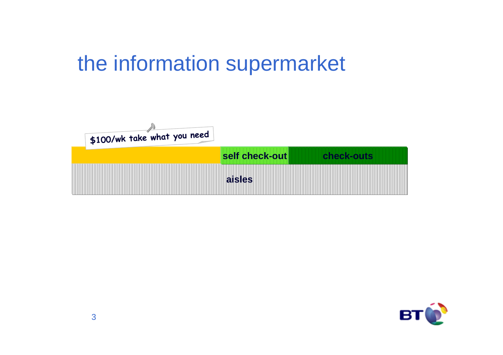# the information supermarket



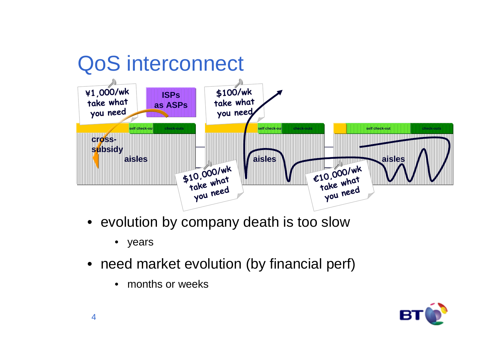

- evolution by company death is too slow
	- years
- need market evolution (by financial perf)
	- months or weeks

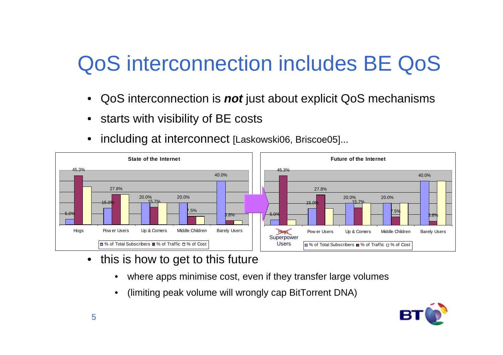# QoS interconnection includes BE QoS

- QoS interconnection is **not** just about explicit QoS mechanisms
- starts with visibility of BE costs
- •including at interconnect [Laskowski06, Briscoe05]...



- $\bullet$  this is how to get to this future
	- •where apps minimise cost, even if they transfer large volumes
	- •(limiting peak volume will wrongly cap BitTorrent DNA)

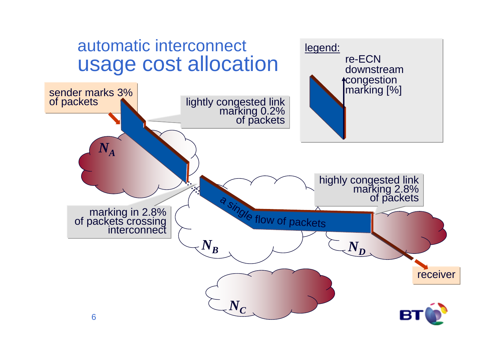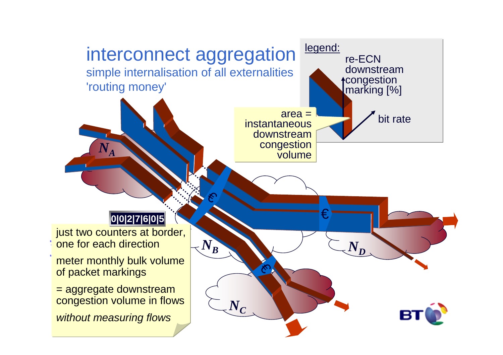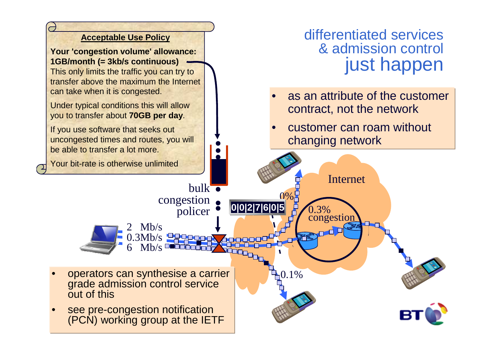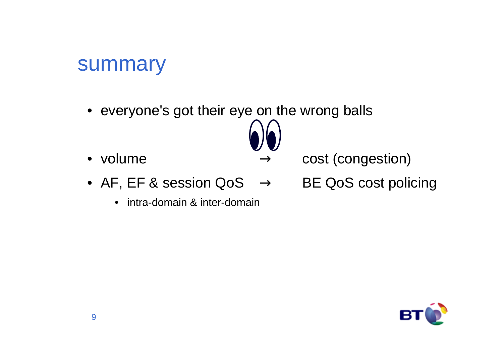### summary

- everyone's got their eye on the wrong balls
- volume  $\longrightarrow$



- cost (congestion)
- AF, EF & session QoS → BE QoS cost policing<br>● AF, EF & session QoS → BE QoS cost policing
	- $\bullet$ intra-domain & inter-domain

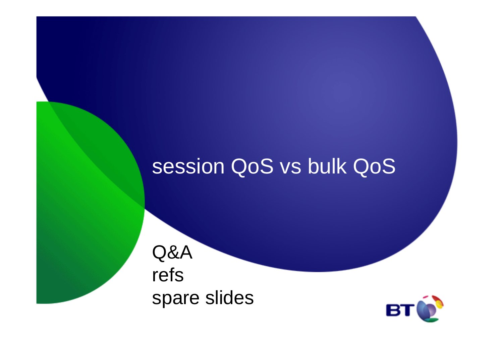### session QoS vs bulk QoS

Q&A refsspare slides

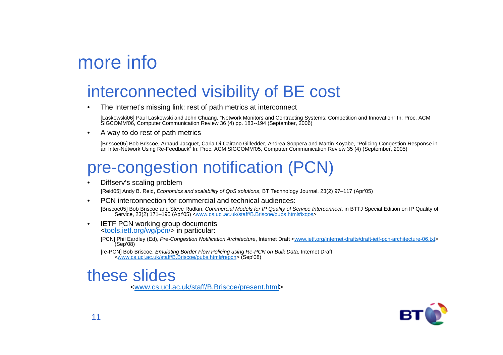### more info

#### interconnected visibility of BE cost

•The Internet's missing link: rest of path metrics at interconnect

[Laskowski06] Paul Laskowski and John Chuang, "Network Monitors and Contracting Systems: Competition and Innovation" In: Proc. ACM SIGCOMM'06, Computer Communication Review 36 (4) pp. 183--194 (September, 2006)

•A way to do rest of path metrics

> [Briscoe05] Bob Briscoe, Arnaud Jacquet, Carla Di-Cairano Gilfedder, Andrea Soppera and Martin Koyabe, "Policing Congestion Response in an Inter-Network Using Re-Feedback" In: Proc. ACM SIGCOMM'05, Computer Communication Review 35 (4) (September, 2005)

#### pre-congestion notification (PCN)

•Diffserv's scaling problem

[Reid05] Andy B. Reid, Economics and scalability of QoS solutions, BT Technology Journal, 23(2) 97–117 (Apr'05)

•PCN interconnection for commercial and technical audiences:

[Briscoe05] Bob Briscoe and Steve Rudkin, *Commercial Models for IP Quality of Service Interconnect*, in BTTJ Special Edition on IP Quality of<br>Service, 23(2) 171–195 (Apr'05) <<u>www.cs.ucl.ac.uk/staff/B.Briscoe/pubs.html#ix</u>

• IETF PCN working group documents<tools.ietf.org/wg/pcn/> in particular:

> [PCN] Phil Eardley (Ed), Pre-Congestion Notification Architecture, Internet Draft <www.ietf.org/internet-drafts/draft-ietf-pcn-architecture-06.txt> (Sep'08)

[re-PCN] Bob Briscoe, *Emulating Border Flow Policing using Re-PCN on Bulk Data*, Internet Draft <www.cs.ucl.ac.uk/staff/B.Briscoe/pubs.html#repcn> (Sep'08)

#### these slides

<www.cs.ucl.ac.uk/staff/B.Briscoe/present.html>

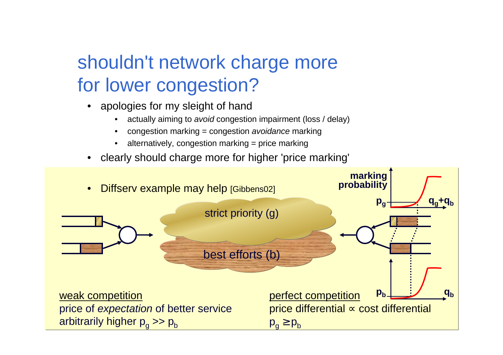### shouldn't network charge more for lower congestion?

- apologies for my sleight of hand
	- actually aiming to *avoid* congestion impairment (loss / delay) •
	- •congestion marking = congestion avoidance marking
	- •alternatively, congestion marking = price marking
- •clearly should charge more for higher 'price marking'

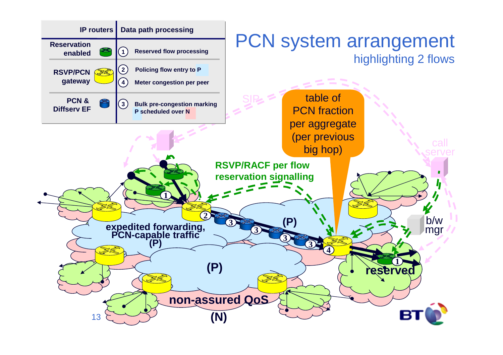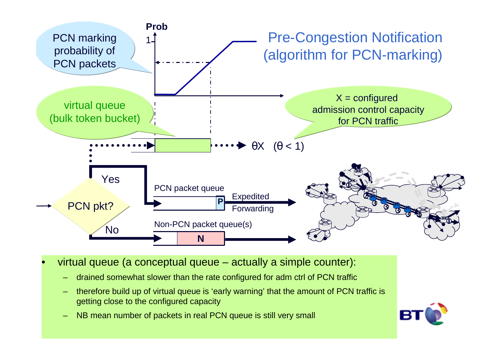

•virtual queue (a conceptual queue – actually a simple counter):

- drained somewhat slower than the rate configured for adm ctrl of PCN traffic
- therefore build up of virtual queue is 'early warning' that the amount of PCN traffic is getting close to the configured capacity
- NB mean number of packets in real PCN queue is still very small